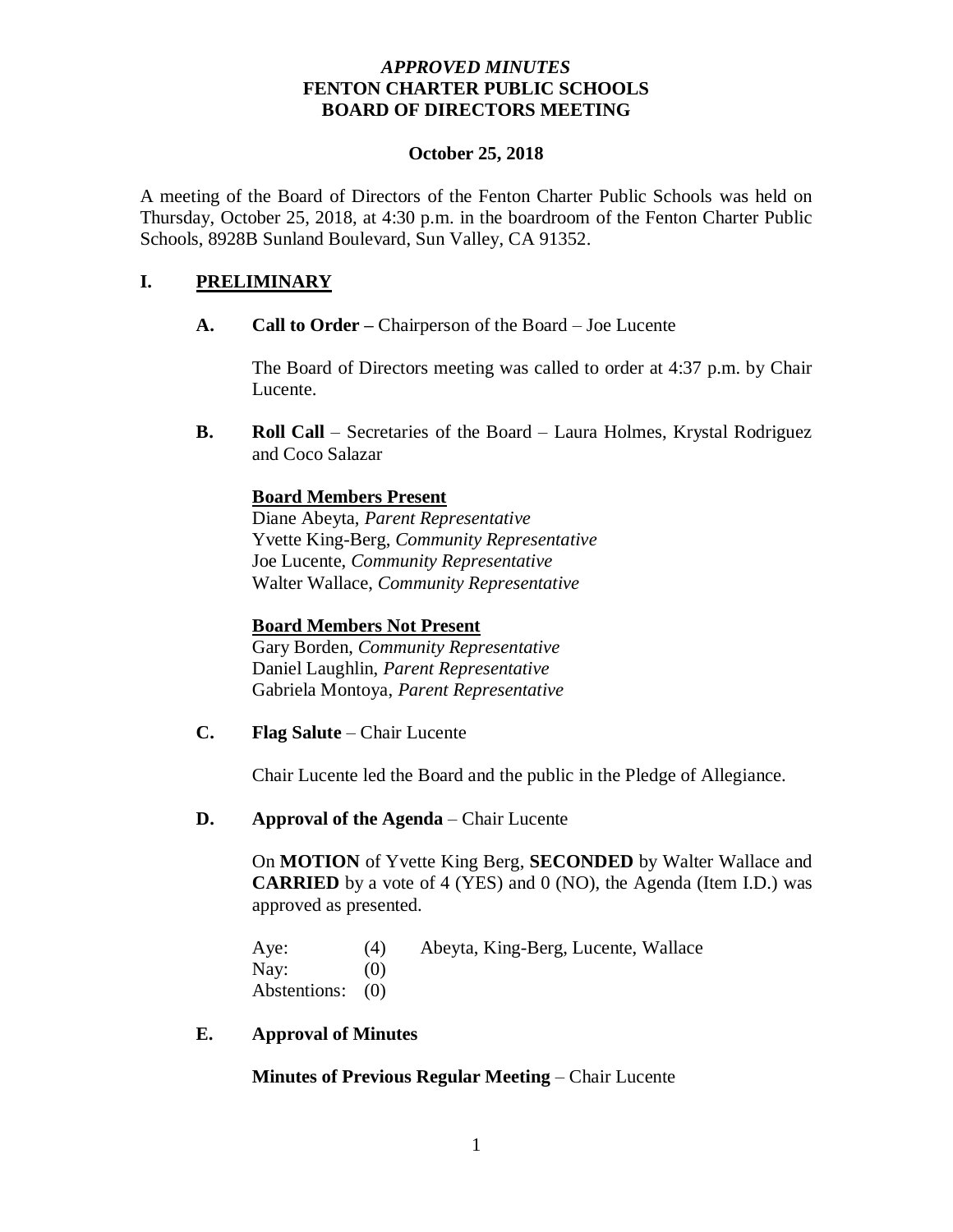## *APPROVED MINUTES* **FENTON CHARTER PUBLIC SCHOOLS BOARD OF DIRECTORS MEETING**

#### **October 25, 2018**

A meeting of the Board of Directors of the Fenton Charter Public Schools was held on Thursday, October 25, 2018, at 4:30 p.m. in the boardroom of the Fenton Charter Public Schools, 8928B Sunland Boulevard, Sun Valley, CA 91352.

# **I. PRELIMINARY**

**A. Call to Order –** Chairperson of the Board – Joe Lucente

The Board of Directors meeting was called to order at 4:37 p.m. by Chair Lucente.

**B. Roll Call** – Secretaries of the Board – Laura Holmes, Krystal Rodriguez and Coco Salazar

# **Board Members Present**

Diane Abeyta, *Parent Representative* Yvette King-Berg, *Community Representative* Joe Lucente, *Community Representative* Walter Wallace, *Community Representative* 

### **Board Members Not Present**

Gary Borden, *Community Representative* Daniel Laughlin, *Parent Representative* Gabriela Montoya, *Parent Representative*

**C. Flag Salute** – Chair Lucente

Chair Lucente led the Board and the public in the Pledge of Allegiance.

### **D. Approval of the Agenda** – Chair Lucente

On **MOTION** of Yvette King Berg, **SECONDED** by Walter Wallace and **CARRIED** by a vote of 4 (YES) and 0 (NO), the Agenda (Item I.D.) was approved as presented.

Aye: (4) Abeyta, King-Berg, Lucente, Wallace Nay:  $(0)$ Abstentions: (0)

**E. Approval of Minutes**

**Minutes of Previous Regular Meeting** – Chair Lucente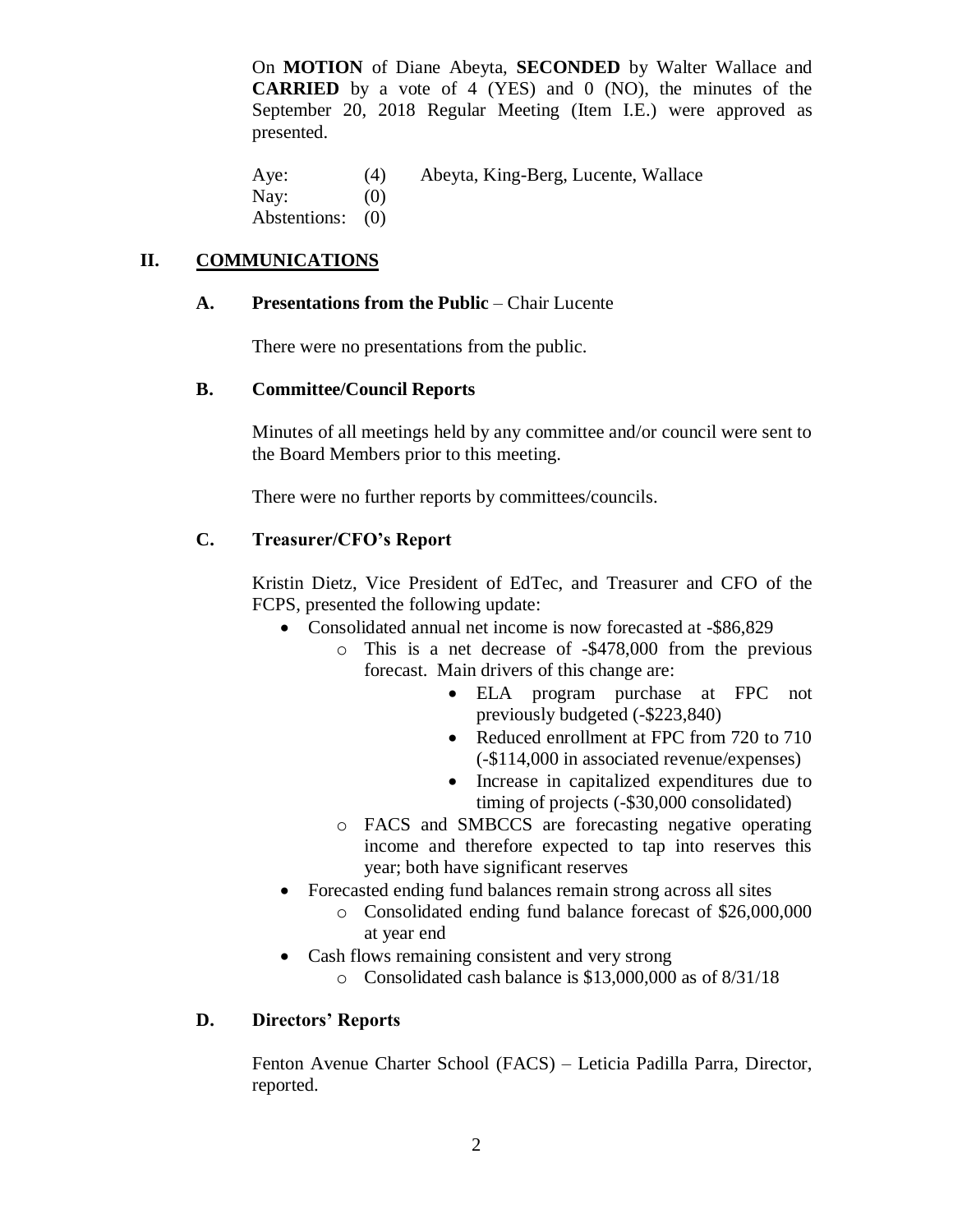On **MOTION** of Diane Abeyta, **SECONDED** by Walter Wallace and **CARRIED** by a vote of 4 (YES) and 0 (NO), the minutes of the September 20, 2018 Regular Meeting (Item I.E.) were approved as presented.

Aye: (4) Abeyta, King-Berg, Lucente, Wallace Nay:  $(0)$ Abstentions: (0)

# **II. COMMUNICATIONS**

# **A. Presentations from the Public** – Chair Lucente

There were no presentations from the public.

# **B. Committee/Council Reports**

Minutes of all meetings held by any committee and/or council were sent to the Board Members prior to this meeting.

There were no further reports by committees/councils.

# **C. Treasurer/CFO's Report**

Kristin Dietz, Vice President of EdTec, and Treasurer and CFO of the FCPS, presented the following update:

- Consolidated annual net income is now forecasted at -\$86,829
	- o This is a net decrease of -\$478,000 from the previous forecast. Main drivers of this change are:
		- ELA program purchase at FPC not previously budgeted (-\$223,840)
		- Reduced enrollment at FPC from 720 to 710 (-\$114,000 in associated revenue/expenses)
		- Increase in capitalized expenditures due to timing of projects (-\$30,000 consolidated)
	- o FACS and SMBCCS are forecasting negative operating income and therefore expected to tap into reserves this year; both have significant reserves
- Forecasted ending fund balances remain strong across all sites
	- o Consolidated ending fund balance forecast of \$26,000,000 at year end
- Cash flows remaining consistent and very strong
	- o Consolidated cash balance is \$13,000,000 as of 8/31/18

# **D. Directors' Reports**

Fenton Avenue Charter School (FACS) – Leticia Padilla Parra, Director, reported.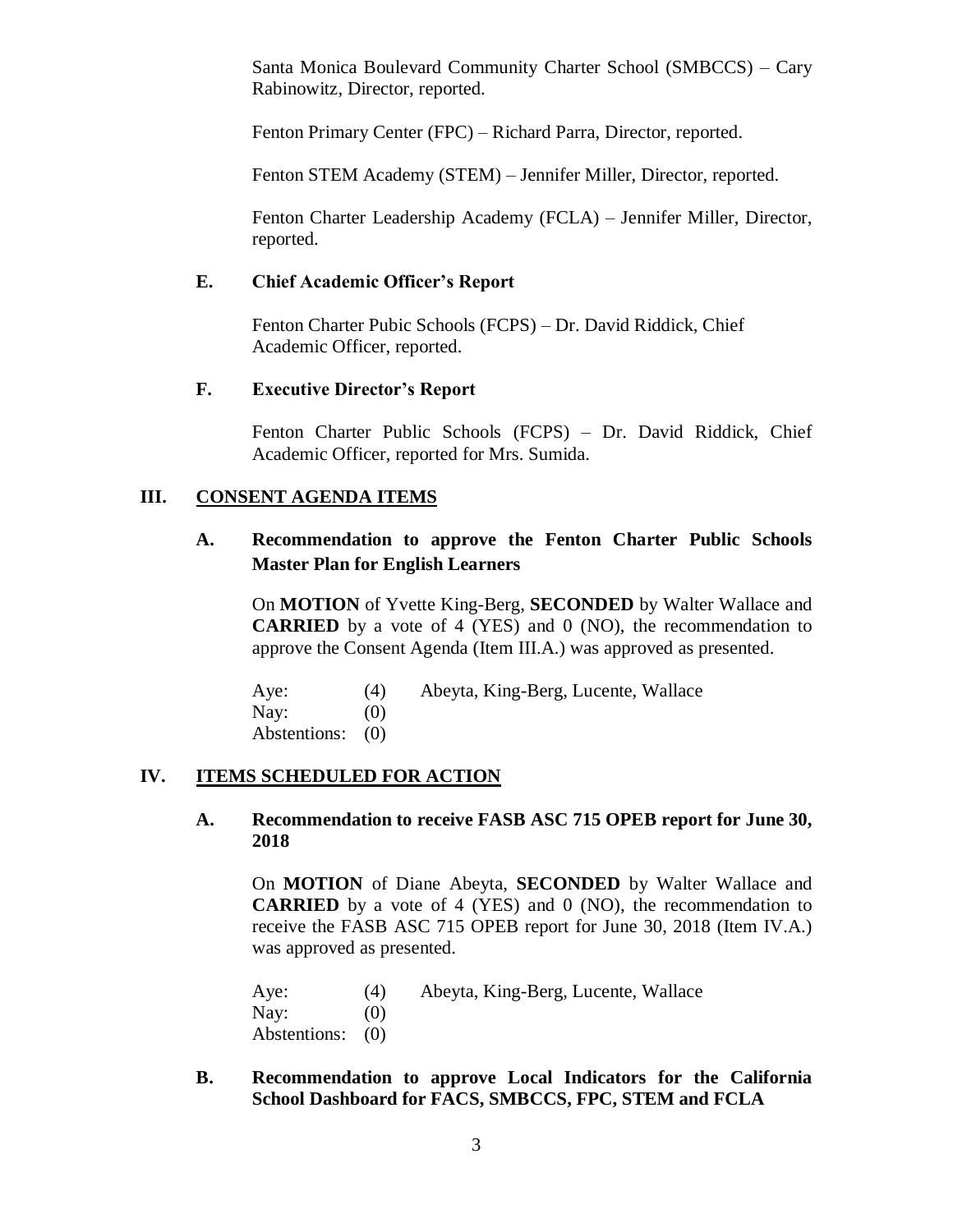Santa Monica Boulevard Community Charter School (SMBCCS) – Cary Rabinowitz, Director, reported.

Fenton Primary Center (FPC) – Richard Parra, Director, reported.

Fenton STEM Academy (STEM) – Jennifer Miller, Director, reported.

Fenton Charter Leadership Academy (FCLA) – Jennifer Miller, Director, reported.

### **E. Chief Academic Officer's Report**

Fenton Charter Pubic Schools (FCPS) – Dr. David Riddick, Chief Academic Officer, reported.

## **F. Executive Director's Report**

Fenton Charter Public Schools (FCPS) – Dr. David Riddick, Chief Academic Officer, reported for Mrs. Sumida.

## **III. CONSENT AGENDA ITEMS**

# **A. Recommendation to approve the Fenton Charter Public Schools Master Plan for English Learners**

On **MOTION** of Yvette King-Berg, **SECONDED** by Walter Wallace and **CARRIED** by a vote of 4 (YES) and 0 (NO), the recommendation to approve the Consent Agenda (Item III.A.) was approved as presented.

Aye: (4) Abeyta, King-Berg, Lucente, Wallace Nay:  $(0)$ Abstentions: (0)

#### **IV. ITEMS SCHEDULED FOR ACTION**

#### **A. Recommendation to receive FASB ASC 715 OPEB report for June 30, 2018**

On **MOTION** of Diane Abeyta, **SECONDED** by Walter Wallace and **CARRIED** by a vote of 4 (YES) and 0 (NO), the recommendation to receive the FASB ASC 715 OPEB report for June 30, 2018 (Item IV.A.) was approved as presented.

Aye: (4) Abeyta, King-Berg, Lucente, Wallace Nay:  $(0)$ Abstentions: (0)

**B. Recommendation to approve Local Indicators for the California School Dashboard for FACS, SMBCCS, FPC, STEM and FCLA**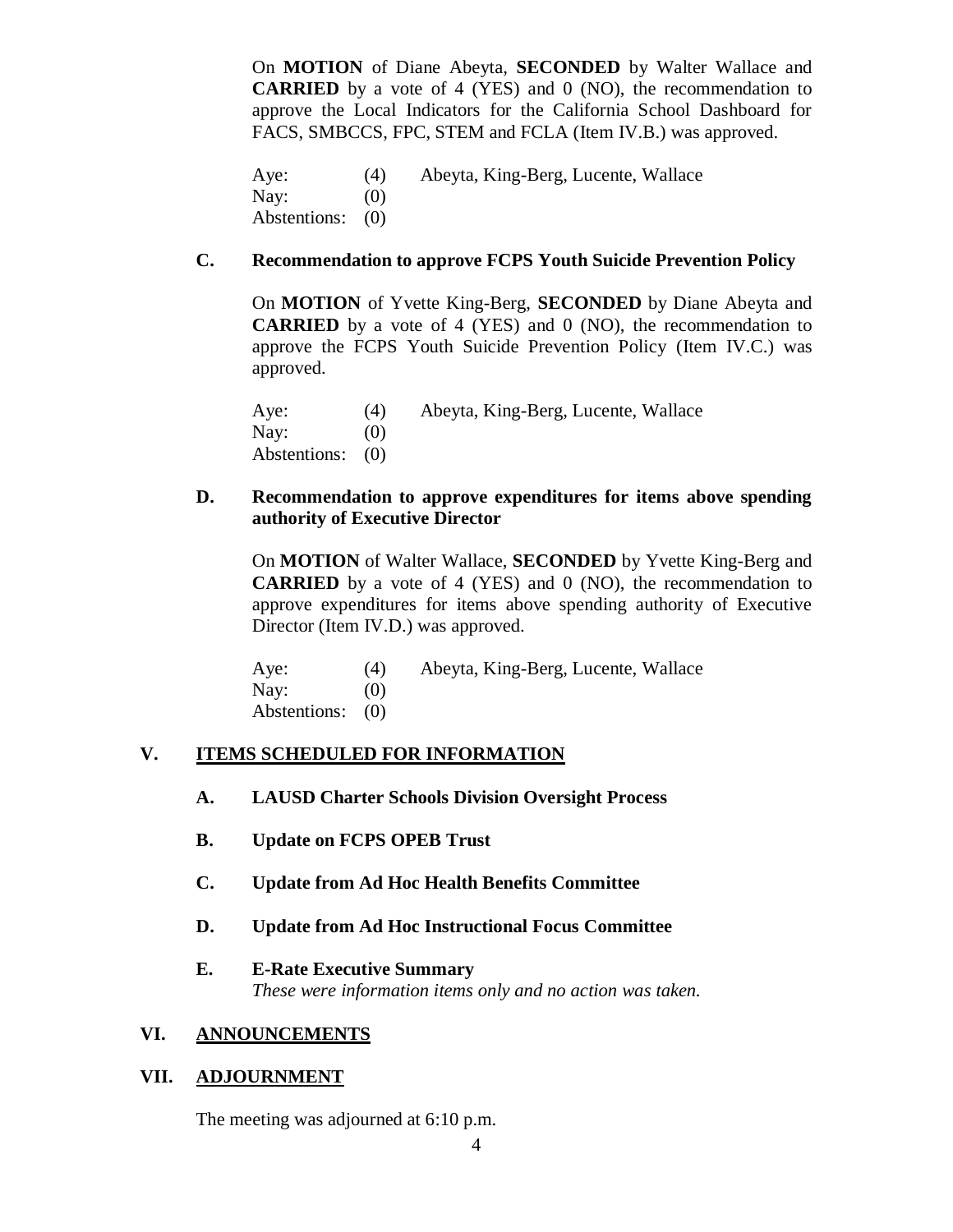On **MOTION** of Diane Abeyta, **SECONDED** by Walter Wallace and **CARRIED** by a vote of 4 (YES) and 0 (NO), the recommendation to approve the Local Indicators for the California School Dashboard for FACS, SMBCCS, FPC, STEM and FCLA (Item IV.B.) was approved.

Aye: (4) Abeyta, King-Berg, Lucente, Wallace Nay:  $(0)$ Abstentions: (0)

## **C. Recommendation to approve FCPS Youth Suicide Prevention Policy**

On **MOTION** of Yvette King-Berg, **SECONDED** by Diane Abeyta and **CARRIED** by a vote of 4 (YES) and 0 (NO), the recommendation to approve the FCPS Youth Suicide Prevention Policy (Item IV.C.) was approved.

Aye: (4) Abeyta, King-Berg, Lucente, Wallace Nay:  $(0)$ Abstentions: (0)

## **D. Recommendation to approve expenditures for items above spending authority of Executive Director**

On **MOTION** of Walter Wallace, **SECONDED** by Yvette King-Berg and **CARRIED** by a vote of 4 (YES) and 0 (NO), the recommendation to approve expenditures for items above spending authority of Executive Director (Item IV.D.) was approved.

Aye: (4) Abeyta, King-Berg, Lucente, Wallace Nay:  $(0)$ Abstentions: (0)

# **V. ITEMS SCHEDULED FOR INFORMATION**

- **A. LAUSD Charter Schools Division Oversight Process**
- **B. Update on FCPS OPEB Trust**
- **C. Update from Ad Hoc Health Benefits Committee**
- **D. Update from Ad Hoc Instructional Focus Committee**

### **E. E-Rate Executive Summary**

*These were information items only and no action was taken.*

#### **VI. ANNOUNCEMENTS**

### **VII. ADJOURNMENT**

The meeting was adjourned at 6:10 p.m.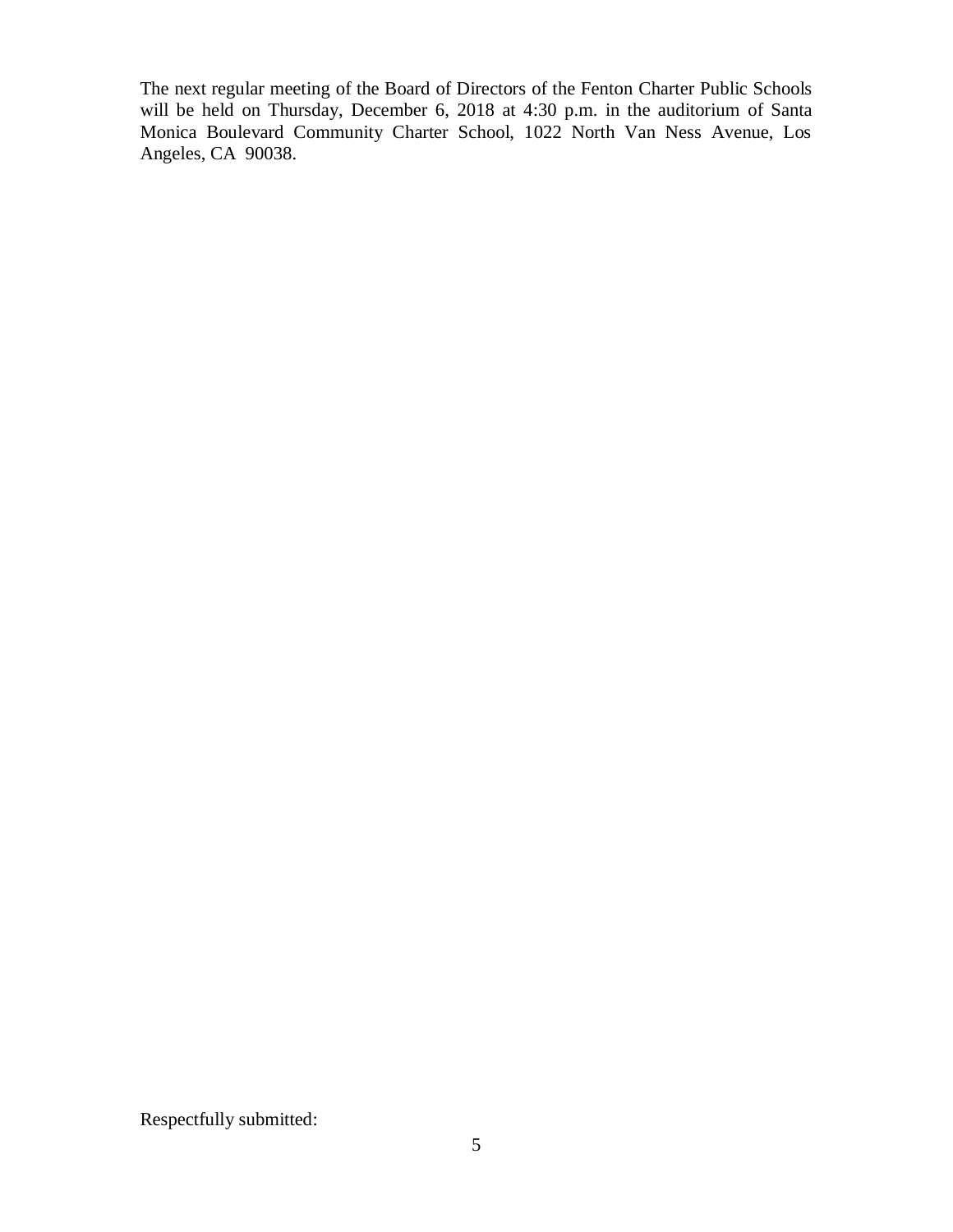The next regular meeting of the Board of Directors of the Fenton Charter Public Schools will be held on Thursday, December 6, 2018 at 4:30 p.m. in the auditorium of Santa Monica Boulevard Community Charter School, 1022 North Van Ness Avenue, Los Angeles, CA 90038.

Respectfully submitted: